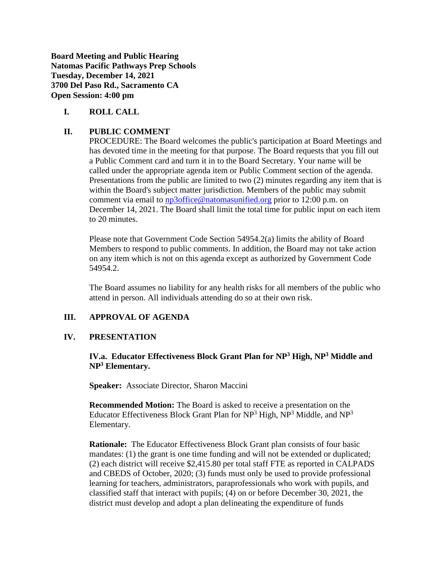**Board Meeting and Public Hearing Natomas Pacific Pathways Prep Schools Tuesday, December 14, 2021 3700 Del Paso Rd., Sacramento CA Open Session: 4:00 pm**

## **I. ROLL CALL**

## **II. PUBLIC COMMENT**

PROCEDURE: The Board welcomes the public's participation at Board Meetings and has devoted time in the meeting for that purpose. The Board requests that you fill out a Public Comment card and turn it in to the Board Secretary. Your name will be called under the appropriate agenda item or Public Comment section of the agenda. Presentations from the public are limited to two (2) minutes regarding any item that is within the Board's subject matter jurisdiction. Members of the public may submit comment via email to [np3office@natomasunified.org](mailto:np3office@natomasunified.org) prior to 12:00 p.m. on December 14, 2021. The Board shall limit the total time for public input on each item to 20 minutes.

Please note that Government Code Section 54954.2(a) limits the ability of Board Members to respond to public comments. In addition, the Board may not take action on any item which is not on this agenda except as authorized by Government Code 54954.2.

The Board assumes no liability for any health risks for all members of the public who attend in person. All individuals attending do so at their own risk.

#### **III. APPROVAL OF AGENDA**

#### **IV. PRESENTATION**

## **IV.a. Educator Effectiveness Block Grant Plan for NP<sup>3</sup> High, NP<sup>3</sup> Middle and NP<sup>3</sup> Elementary.**

**Speaker:** Associate Director, Sharon Maccini

**Recommended Motion:** The Board is asked to receive a presentation on the Educator Effectiveness Block Grant Plan for  $NP<sup>3</sup>$  High,  $NP<sup>3</sup>$  Middle, and  $NP<sup>3</sup>$ Elementary.

**Rationale:** The Educator Effectiveness Block Grant plan consists of four basic mandates: (1) the grant is one time funding and will not be extended or duplicated; (2) each district will receive \$2,415.80 per total staff FTE as reported in CALPADS and CBEDS of October, 2020; (3) funds must only be used to provide professional learning for teachers, administrators, paraprofessionals who work with pupils, and classified staff that interact with pupils; (4) on or before December 30, 2021, the district must develop and adopt a plan delineating the expenditure of funds